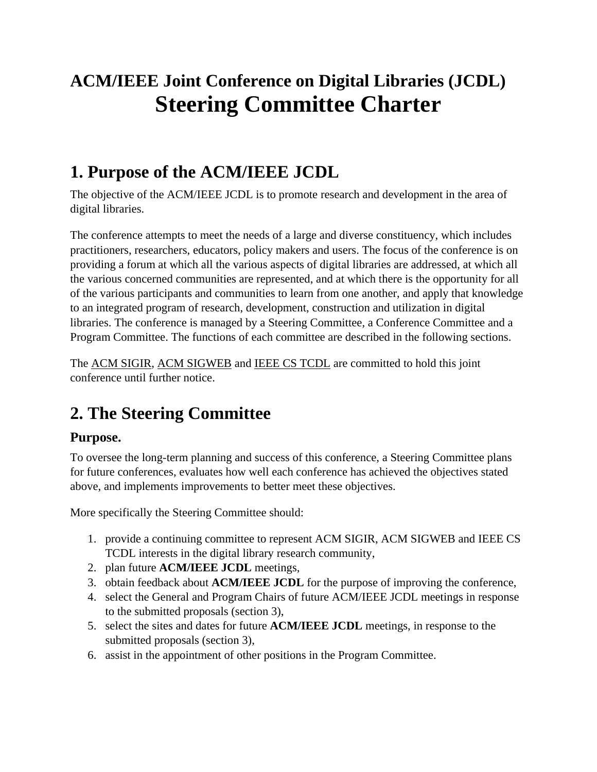# **ACM/IEEE Joint Conference on Digital Libraries (JCDL) Steering Committee Charter**

## **1. Purpose of the ACM/IEEE JCDL**

The objective of the ACM/IEEE JCDL is to promote research and development in the area of digital libraries.

The conference attempts to meet the needs of a large and diverse constituency, which includes practitioners, researchers, educators, policy makers and users. The focus of the conference is on providing a forum at which all the various aspects of digital libraries are addressed, at which all the various concerned communities are represented, and at which there is the opportunity for all of the various participants and communities to learn from one another, and apply that knowledge to an integrated program of research, development, construction and utilization in digital libraries. The conference is managed by a Steering Committee, a Conference Committee and a Program Committee. The functions of each committee are described in the following sections.

The ACM SIGIR, ACM SIGWEB and IEEE CS TCDL are committed to hold this joint conference until further notice.

## **2. The Steering Committee**

#### **Purpose.**

To oversee the long-term planning and success of this conference, a Steering Committee plans for future conferences, evaluates how well each conference has achieved the objectives stated above, and implements improvements to better meet these objectives.

More specifically the Steering Committee should:

- 1. provide a continuing committee to represent ACM SIGIR, ACM SIGWEB and IEEE CS TCDL interests in the digital library research community,
- 2. plan future **ACM/IEEE JCDL** meetings,
- 3. obtain feedback about **ACM/IEEE JCDL** for the purpose of improving the conference,
- 4. select the General and Program Chairs of future ACM/IEEE JCDL meetings in response to the submitted proposals (section 3),
- 5. select the sites and dates for future **ACM/IEEE JCDL** meetings, in response to the submitted proposals (section 3),
- 6. assist in the appointment of other positions in the Program Committee.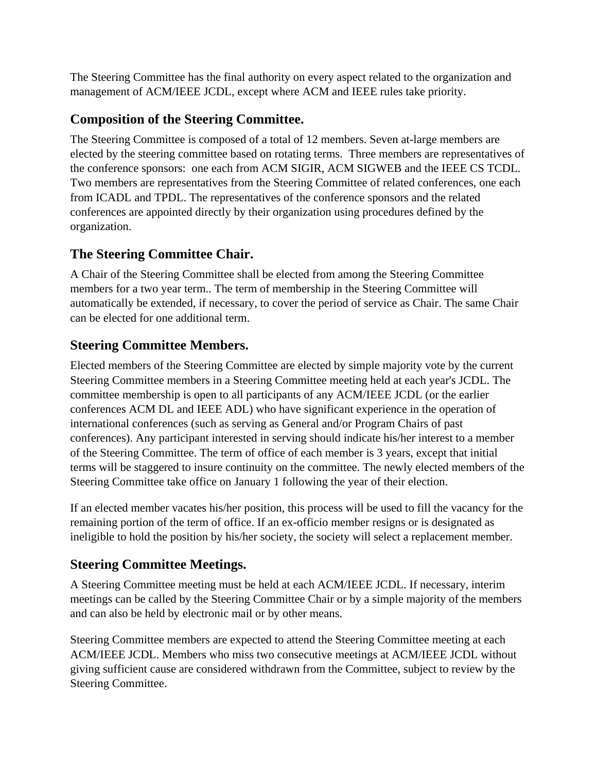The Steering Committee has the final authority on every aspect related to the organization and management of ACM/IEEE JCDL, except where ACM and IEEE rules take priority.

### **Composition of the Steering Committee.**

The Steering Committee is composed of a total of 12 members. Seven at-large members are elected by the steering committee based on rotating terms. Three members are representatives of the conference sponsors: one each from ACM SIGIR, ACM SIGWEB and the IEEE CS TCDL. Two members are representatives from the Steering Committee of related conferences, one each from ICADL and TPDL. The representatives of the conference sponsors and the related conferences are appointed directly by their organization using procedures defined by the organization.

#### **The Steering Committee Chair.**

A Chair of the Steering Committee shall be elected from among the Steering Committee members for a two year term.. The term of membership in the Steering Committee will automatically be extended, if necessary, to cover the period of service as Chair. The same Chair can be elected for one additional term.

### **Steering Committee Members.**

Elected members of the Steering Committee are elected by simple majority vote by the current Steering Committee members in a Steering Committee meeting held at each year's JCDL. The committee membership is open to all participants of any ACM/IEEE JCDL (or the earlier conferences ACM DL and IEEE ADL) who have significant experience in the operation of international conferences (such as serving as General and/or Program Chairs of past conferences). Any participant interested in serving should indicate his/her interest to a member of the Steering Committee. The term of office of each member is 3 years, except that initial terms will be staggered to insure continuity on the committee. The newly elected members of the Steering Committee take office on January 1 following the year of their election.

If an elected member vacates his/her position, this process will be used to fill the vacancy for the remaining portion of the term of office. If an ex-officio member resigns or is designated as ineligible to hold the position by his/her society, the society will select a replacement member.

### **Steering Committee Meetings.**

A Steering Committee meeting must be held at each ACM/IEEE JCDL. If necessary, interim meetings can be called by the Steering Committee Chair or by a simple majority of the members and can also be held by electronic mail or by other means.

Steering Committee members are expected to attend the Steering Committee meeting at each ACM/IEEE JCDL. Members who miss two consecutive meetings at ACM/IEEE JCDL without giving sufficient cause are considered withdrawn from the Committee, subject to review by the Steering Committee.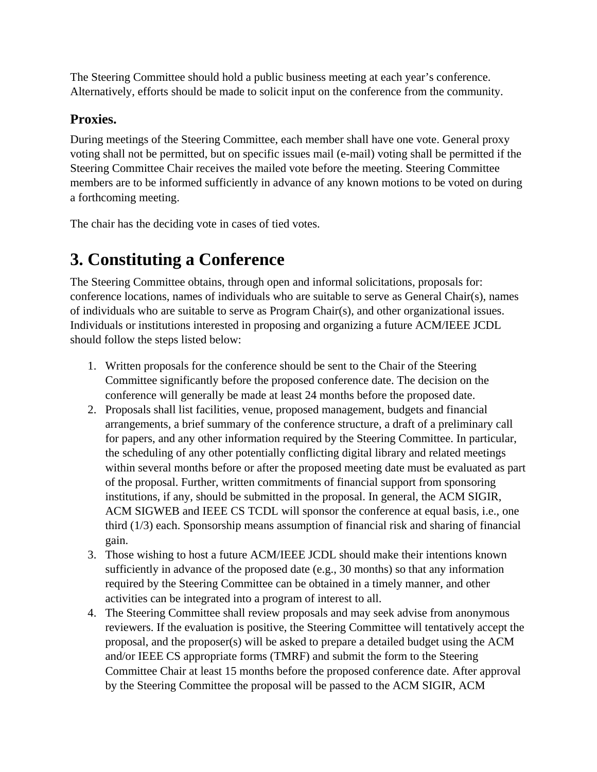The Steering Committee should hold a public business meeting at each year's conference. Alternatively, efforts should be made to solicit input on the conference from the community.

#### **Proxies.**

During meetings of the Steering Committee, each member shall have one vote. General proxy voting shall not be permitted, but on specific issues mail (e-mail) voting shall be permitted if the Steering Committee Chair receives the mailed vote before the meeting. Steering Committee members are to be informed sufficiently in advance of any known motions to be voted on during a forthcoming meeting.

The chair has the deciding vote in cases of tied votes.

## **3. Constituting a Conference**

The Steering Committee obtains, through open and informal solicitations, proposals for: conference locations, names of individuals who are suitable to serve as General Chair(s), names of individuals who are suitable to serve as Program Chair(s), and other organizational issues. Individuals or institutions interested in proposing and organizing a future ACM/IEEE JCDL should follow the steps listed below:

- 1. Written proposals for the conference should be sent to the Chair of the Steering Committee significantly before the proposed conference date. The decision on the conference will generally be made at least 24 months before the proposed date.
- 2. Proposals shall list facilities, venue, proposed management, budgets and financial arrangements, a brief summary of the conference structure, a draft of a preliminary call for papers, and any other information required by the Steering Committee. In particular, the scheduling of any other potentially conflicting digital library and related meetings within several months before or after the proposed meeting date must be evaluated as part of the proposal. Further, written commitments of financial support from sponsoring institutions, if any, should be submitted in the proposal. In general, the ACM SIGIR, ACM SIGWEB and IEEE CS TCDL will sponsor the conference at equal basis, i.e., one third (1/3) each. Sponsorship means assumption of financial risk and sharing of financial gain.
- 3. Those wishing to host a future ACM/IEEE JCDL should make their intentions known sufficiently in advance of the proposed date (e.g., 30 months) so that any information required by the Steering Committee can be obtained in a timely manner, and other activities can be integrated into a program of interest to all.
- 4. The Steering Committee shall review proposals and may seek advise from anonymous reviewers. If the evaluation is positive, the Steering Committee will tentatively accept the proposal, and the proposer(s) will be asked to prepare a detailed budget using the ACM and/or IEEE CS appropriate forms (TMRF) and submit the form to the Steering Committee Chair at least 15 months before the proposed conference date. After approval by the Steering Committee the proposal will be passed to the ACM SIGIR, ACM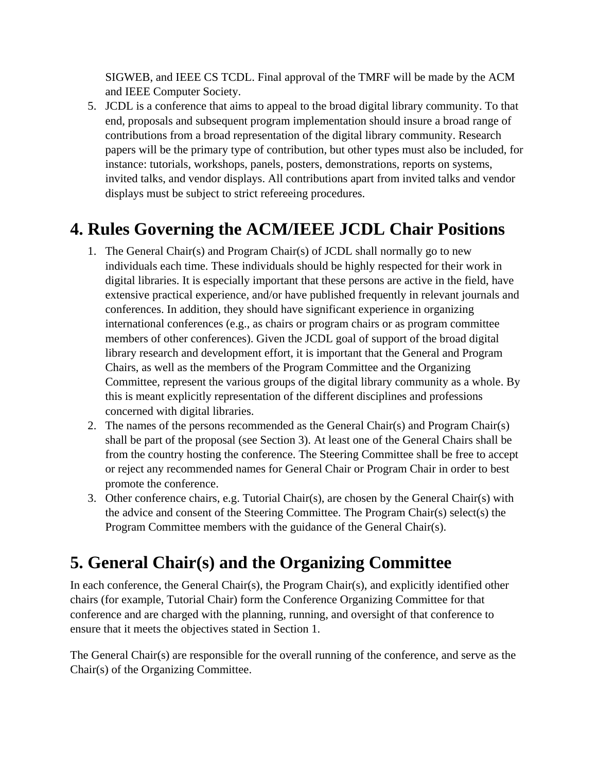SIGWEB, and IEEE CS TCDL. Final approval of the TMRF will be made by the ACM and IEEE Computer Society.

5. JCDL is a conference that aims to appeal to the broad digital library community. To that end, proposals and subsequent program implementation should insure a broad range of contributions from a broad representation of the digital library community. Research papers will be the primary type of contribution, but other types must also be included, for instance: tutorials, workshops, panels, posters, demonstrations, reports on systems, invited talks, and vendor displays. All contributions apart from invited talks and vendor displays must be subject to strict refereeing procedures.

## **4. Rules Governing the ACM/IEEE JCDL Chair Positions**

- 1. The General Chair(s) and Program Chair(s) of JCDL shall normally go to new individuals each time. These individuals should be highly respected for their work in digital libraries. It is especially important that these persons are active in the field, have extensive practical experience, and/or have published frequently in relevant journals and conferences. In addition, they should have significant experience in organizing international conferences (e.g., as chairs or program chairs or as program committee members of other conferences). Given the JCDL goal of support of the broad digital library research and development effort, it is important that the General and Program Chairs, as well as the members of the Program Committee and the Organizing Committee, represent the various groups of the digital library community as a whole. By this is meant explicitly representation of the different disciplines and professions concerned with digital libraries.
- 2. The names of the persons recommended as the General Chair(s) and Program Chair(s) shall be part of the proposal (see Section 3). At least one of the General Chairs shall be from the country hosting the conference. The Steering Committee shall be free to accept or reject any recommended names for General Chair or Program Chair in order to best promote the conference.
- 3. Other conference chairs, e.g. Tutorial Chair(s), are chosen by the General Chair(s) with the advice and consent of the Steering Committee. The Program Chair(s) select(s) the Program Committee members with the guidance of the General Chair(s).

## **5. General Chair(s) and the Organizing Committee**

In each conference, the General Chair(s), the Program Chair(s), and explicitly identified other chairs (for example, Tutorial Chair) form the Conference Organizing Committee for that conference and are charged with the planning, running, and oversight of that conference to ensure that it meets the objectives stated in Section 1.

The General Chair(s) are responsible for the overall running of the conference, and serve as the Chair(s) of the Organizing Committee.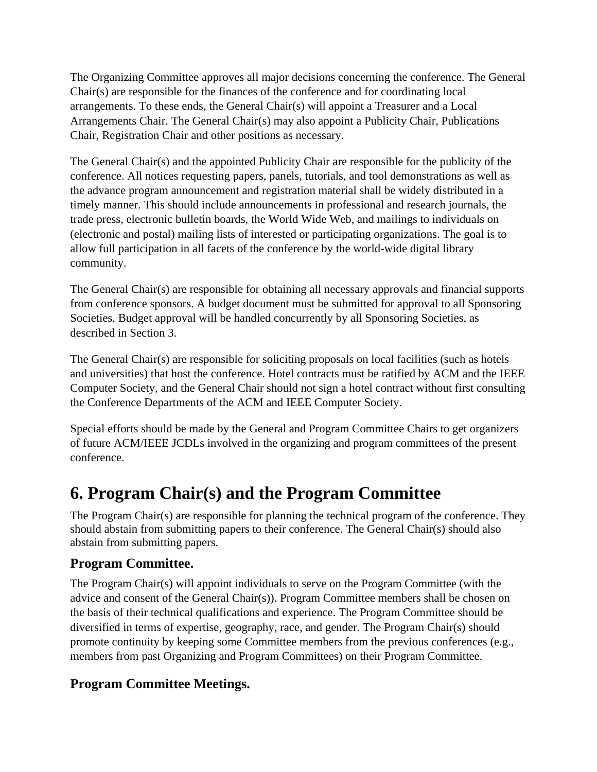The Organizing Committee approves all major decisions concerning the conference. The General Chair(s) are responsible for the finances of the conference and for coordinating local arrangements. To these ends, the General Chair(s) will appoint a Treasurer and a Local Arrangements Chair. The General Chair(s) may also appoint a Publicity Chair, Publications Chair, Registration Chair and other positions as necessary.

The General Chair(s) and the appointed Publicity Chair are responsible for the publicity of the conference. All notices requesting papers, panels, tutorials, and tool demonstrations as well as the advance program announcement and registration material shall be widely distributed in a timely manner. This should include announcements in professional and research journals, the trade press, electronic bulletin boards, the World Wide Web, and mailings to individuals on (electronic and postal) mailing lists of interested or participating organizations. The goal is to allow full participation in all facets of the conference by the world-wide digital library community.

The General Chair(s) are responsible for obtaining all necessary approvals and financial supports from conference sponsors. A budget document must be submitted for approval to all Sponsoring Societies. Budget approval will be handled concurrently by all Sponsoring Societies, as described in Section 3.

The General Chair(s) are responsible for soliciting proposals on local facilities (such as hotels and universities) that host the conference. Hotel contracts must be ratified by ACM and the IEEE Computer Society, and the General Chair should not sign a hotel contract without first consulting the Conference Departments of the ACM and IEEE Computer Society.

Special efforts should be made by the General and Program Committee Chairs to get organizers of future ACM/IEEE JCDLs involved in the organizing and program committees of the present conference.

## **6. Program Chair(s) and the Program Committee**

The Program Chair(s) are responsible for planning the technical program of the conference. They should abstain from submitting papers to their conference. The General Chair(s) should also abstain from submitting papers.

#### **Program Committee.**

The Program Chair(s) will appoint individuals to serve on the Program Committee (with the advice and consent of the General Chair(s)). Program Committee members shall be chosen on the basis of their technical qualifications and experience. The Program Committee should be diversified in terms of expertise, geography, race, and gender. The Program Chair(s) should promote continuity by keeping some Committee members from the previous conferences (e.g., members from past Organizing and Program Committees) on their Program Committee.

#### **Program Committee Meetings.**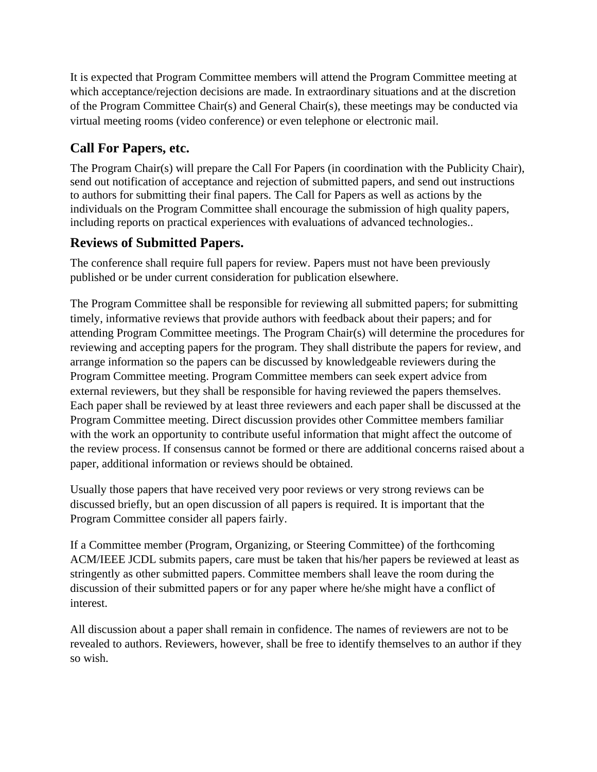It is expected that Program Committee members will attend the Program Committee meeting at which acceptance/rejection decisions are made. In extraordinary situations and at the discretion of the Program Committee Chair(s) and General Chair(s), these meetings may be conducted via virtual meeting rooms (video conference) or even telephone or electronic mail.

#### **Call For Papers, etc.**

The Program Chair(s) will prepare the Call For Papers (in coordination with the Publicity Chair), send out notification of acceptance and rejection of submitted papers, and send out instructions to authors for submitting their final papers. The Call for Papers as well as actions by the individuals on the Program Committee shall encourage the submission of high quality papers, including reports on practical experiences with evaluations of advanced technologies..

#### **Reviews of Submitted Papers.**

The conference shall require full papers for review. Papers must not have been previously published or be under current consideration for publication elsewhere.

The Program Committee shall be responsible for reviewing all submitted papers; for submitting timely, informative reviews that provide authors with feedback about their papers; and for attending Program Committee meetings. The Program Chair(s) will determine the procedures for reviewing and accepting papers for the program. They shall distribute the papers for review, and arrange information so the papers can be discussed by knowledgeable reviewers during the Program Committee meeting. Program Committee members can seek expert advice from external reviewers, but they shall be responsible for having reviewed the papers themselves. Each paper shall be reviewed by at least three reviewers and each paper shall be discussed at the Program Committee meeting. Direct discussion provides other Committee members familiar with the work an opportunity to contribute useful information that might affect the outcome of the review process. If consensus cannot be formed or there are additional concerns raised about a paper, additional information or reviews should be obtained.

Usually those papers that have received very poor reviews or very strong reviews can be discussed briefly, but an open discussion of all papers is required. It is important that the Program Committee consider all papers fairly.

If a Committee member (Program, Organizing, or Steering Committee) of the forthcoming ACM/IEEE JCDL submits papers, care must be taken that his/her papers be reviewed at least as stringently as other submitted papers. Committee members shall leave the room during the discussion of their submitted papers or for any paper where he/she might have a conflict of interest.

All discussion about a paper shall remain in confidence. The names of reviewers are not to be revealed to authors. Reviewers, however, shall be free to identify themselves to an author if they so wish.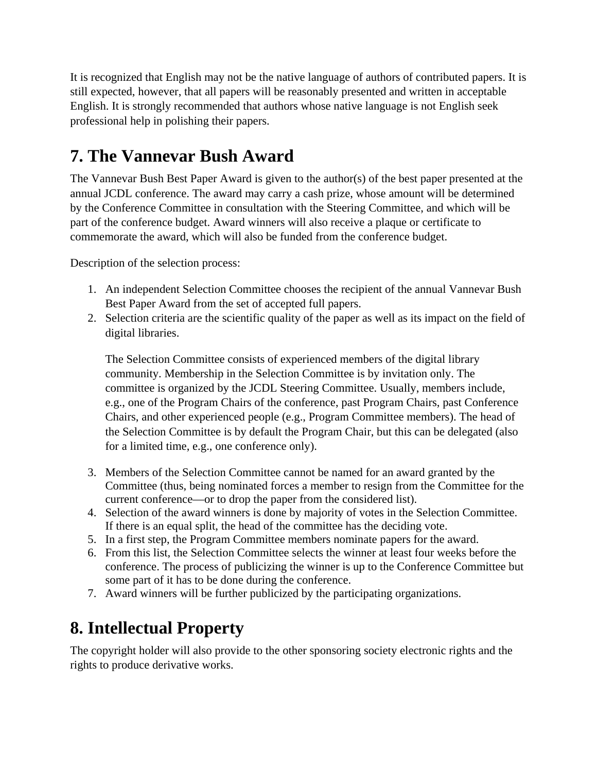It is recognized that English may not be the native language of authors of contributed papers. It is still expected, however, that all papers will be reasonably presented and written in acceptable English. It is strongly recommended that authors whose native language is not English seek professional help in polishing their papers.

## **7. The Vannevar Bush Award**

The Vannevar Bush Best Paper Award is given to the author(s) of the best paper presented at the annual JCDL conference. The award may carry a cash prize, whose amount will be determined by the Conference Committee in consultation with the Steering Committee, and which will be part of the conference budget. Award winners will also receive a plaque or certificate to commemorate the award, which will also be funded from the conference budget.

Description of the selection process:

- 1. An independent Selection Committee chooses the recipient of the annual Vannevar Bush Best Paper Award from the set of accepted full papers.
- 2. Selection criteria are the scientific quality of the paper as well as its impact on the field of digital libraries.

The Selection Committee consists of experienced members of the digital library community. Membership in the Selection Committee is by invitation only. The committee is organized by the JCDL Steering Committee. Usually, members include, e.g., one of the Program Chairs of the conference, past Program Chairs, past Conference Chairs, and other experienced people (e.g., Program Committee members). The head of the Selection Committee is by default the Program Chair, but this can be delegated (also for a limited time, e.g., one conference only).

- 3. Members of the Selection Committee cannot be named for an award granted by the Committee (thus, being nominated forces a member to resign from the Committee for the current conference—or to drop the paper from the considered list).
- 4. Selection of the award winners is done by majority of votes in the Selection Committee. If there is an equal split, the head of the committee has the deciding vote.
- 5. In a first step, the Program Committee members nominate papers for the award.
- 6. From this list, the Selection Committee selects the winner at least four weeks before the conference. The process of publicizing the winner is up to the Conference Committee but some part of it has to be done during the conference.
- 7. Award winners will be further publicized by the participating organizations.

### **8. Intellectual Property**

The copyright holder will also provide to the other sponsoring society electronic rights and the rights to produce derivative works.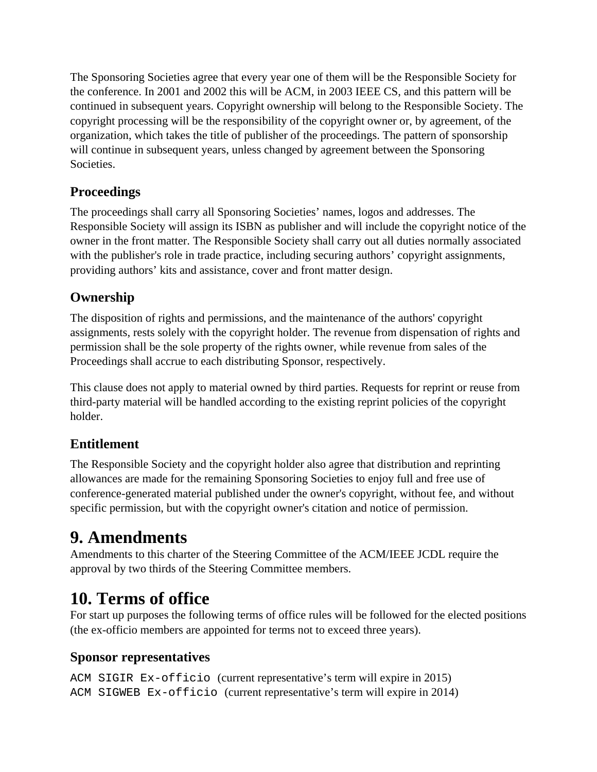The Sponsoring Societies agree that every year one of them will be the Responsible Society for the conference. In 2001 and 2002 this will be ACM, in 2003 IEEE CS, and this pattern will be continued in subsequent years. Copyright ownership will belong to the Responsible Society. The copyright processing will be the responsibility of the copyright owner or, by agreement, of the organization, which takes the title of publisher of the proceedings. The pattern of sponsorship will continue in subsequent years, unless changed by agreement between the Sponsoring Societies.

#### **Proceedings**

The proceedings shall carry all Sponsoring Societies' names, logos and addresses. The Responsible Society will assign its ISBN as publisher and will include the copyright notice of the owner in the front matter. The Responsible Society shall carry out all duties normally associated with the publisher's role in trade practice, including securing authors' copyright assignments, providing authors' kits and assistance, cover and front matter design.

### **Ownership**

The disposition of rights and permissions, and the maintenance of the authors' copyright assignments, rests solely with the copyright holder. The revenue from dispensation of rights and permission shall be the sole property of the rights owner, while revenue from sales of the Proceedings shall accrue to each distributing Sponsor, respectively.

This clause does not apply to material owned by third parties. Requests for reprint or reuse from third-party material will be handled according to the existing reprint policies of the copyright holder.

### **Entitlement**

The Responsible Society and the copyright holder also agree that distribution and reprinting allowances are made for the remaining Sponsoring Societies to enjoy full and free use of conference-generated material published under the owner's copyright, without fee, and without specific permission, but with the copyright owner's citation and notice of permission.

### **9. Amendments**

Amendments to this charter of the Steering Committee of the ACM/IEEE JCDL require the approval by two thirds of the Steering Committee members.

### **10. Terms of office**

For start up purposes the following terms of office rules will be followed for the elected positions (the ex-officio members are appointed for terms not to exceed three years).

#### **Sponsor representatives**

```
ACM SIGIR Ex-officio (current representative's term will expire in 2015)
ACM SIGWEB Ex-officio (current representative's term will expire in 2014)
```